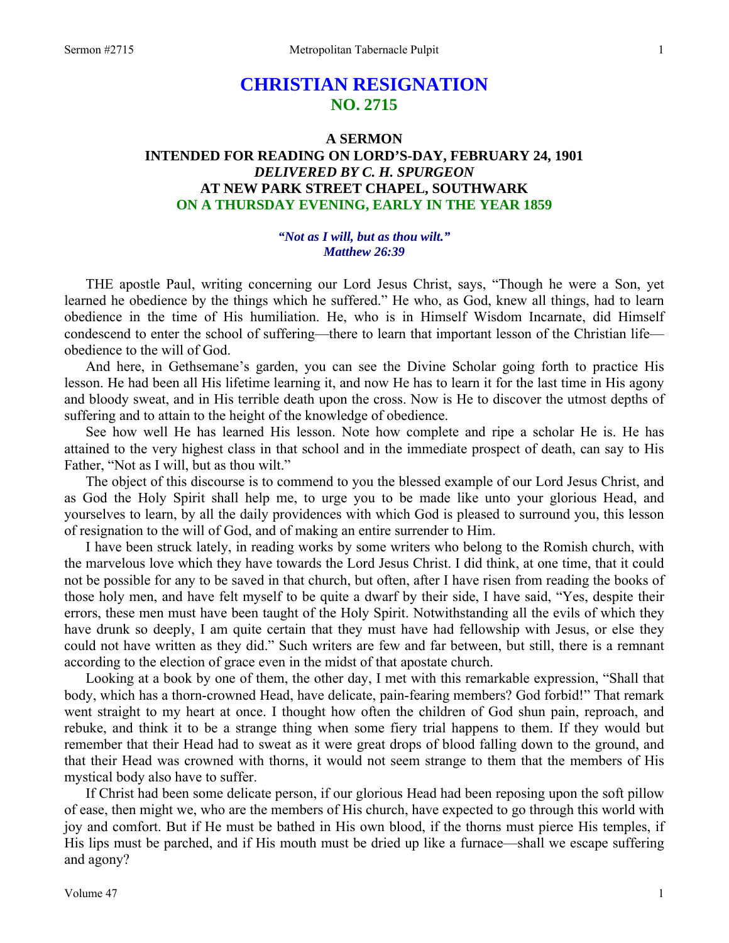# **CHRISTIAN RESIGNATION NO. 2715**

# **A SERMON INTENDED FOR READING ON LORD'S-DAY, FEBRUARY 24, 1901** *DELIVERED BY C. H. SPURGEON*  **AT NEW PARK STREET CHAPEL, SOUTHWARK ON A THURSDAY EVENING, EARLY IN THE YEAR 1859**

# *"Not as I will, but as thou wilt." Matthew 26:39*

THE apostle Paul, writing concerning our Lord Jesus Christ, says, "Though he were a Son, yet learned he obedience by the things which he suffered." He who, as God, knew all things, had to learn obedience in the time of His humiliation. He, who is in Himself Wisdom Incarnate, did Himself condescend to enter the school of suffering—there to learn that important lesson of the Christian life obedience to the will of God.

 And here, in Gethsemane's garden, you can see the Divine Scholar going forth to practice His lesson. He had been all His lifetime learning it, and now He has to learn it for the last time in His agony and bloody sweat, and in His terrible death upon the cross. Now is He to discover the utmost depths of suffering and to attain to the height of the knowledge of obedience.

 See how well He has learned His lesson. Note how complete and ripe a scholar He is. He has attained to the very highest class in that school and in the immediate prospect of death, can say to His Father, "Not as I will, but as thou wilt."

 The object of this discourse is to commend to you the blessed example of our Lord Jesus Christ, and as God the Holy Spirit shall help me, to urge you to be made like unto your glorious Head, and yourselves to learn, by all the daily providences with which God is pleased to surround you, this lesson of resignation to the will of God, and of making an entire surrender to Him.

 I have been struck lately, in reading works by some writers who belong to the Romish church, with the marvelous love which they have towards the Lord Jesus Christ. I did think, at one time, that it could not be possible for any to be saved in that church, but often, after I have risen from reading the books of those holy men, and have felt myself to be quite a dwarf by their side, I have said, "Yes, despite their errors, these men must have been taught of the Holy Spirit. Notwithstanding all the evils of which they have drunk so deeply, I am quite certain that they must have had fellowship with Jesus, or else they could not have written as they did." Such writers are few and far between, but still, there is a remnant according to the election of grace even in the midst of that apostate church.

 Looking at a book by one of them, the other day, I met with this remarkable expression, "Shall that body, which has a thorn-crowned Head, have delicate, pain-fearing members? God forbid!" That remark went straight to my heart at once. I thought how often the children of God shun pain, reproach, and rebuke, and think it to be a strange thing when some fiery trial happens to them. If they would but remember that their Head had to sweat as it were great drops of blood falling down to the ground, and that their Head was crowned with thorns, it would not seem strange to them that the members of His mystical body also have to suffer.

 If Christ had been some delicate person, if our glorious Head had been reposing upon the soft pillow of ease, then might we, who are the members of His church, have expected to go through this world with joy and comfort. But if He must be bathed in His own blood, if the thorns must pierce His temples, if His lips must be parched, and if His mouth must be dried up like a furnace—shall we escape suffering and agony?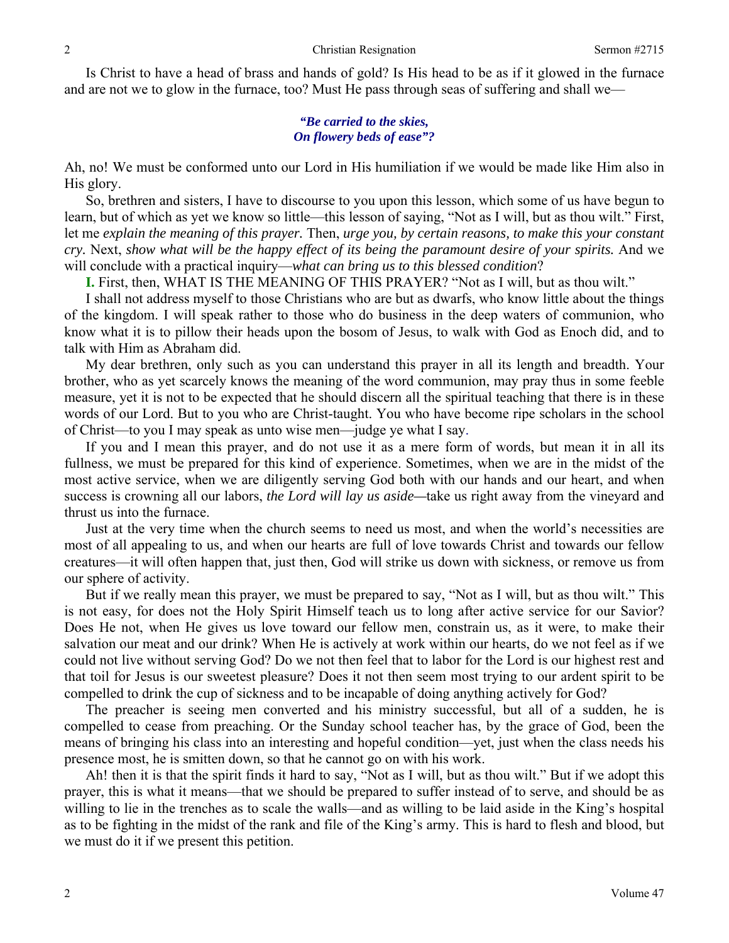Is Christ to have a head of brass and hands of gold? Is His head to be as if it glowed in the furnace and are not we to glow in the furnace, too? Must He pass through seas of suffering and shall we—

### *"Be carried to the skies, On flowery beds of ease"?*

Ah, no! We must be conformed unto our Lord in His humiliation if we would be made like Him also in His glory.

 So, brethren and sisters, I have to discourse to you upon this lesson, which some of us have begun to learn, but of which as yet we know so little—this lesson of saying, "Not as I will, but as thou wilt." First, let me *explain the meaning of this prayer.* Then, *urge you, by certain reasons, to make this your constant cry.* Next, *show what will be the happy effect of its being the paramount desire of your spirits.* And we will conclude with a practical inquiry—*what can bring us to this blessed condition*?

**I.** First, then, WHAT IS THE MEANING OF THIS PRAYER? "Not as I will, but as thou wilt."

 I shall not address myself to those Christians who are but as dwarfs, who know little about the things of the kingdom. I will speak rather to those who do business in the deep waters of communion, who know what it is to pillow their heads upon the bosom of Jesus, to walk with God as Enoch did, and to talk with Him as Abraham did.

 My dear brethren, only such as you can understand this prayer in all its length and breadth. Your brother, who as yet scarcely knows the meaning of the word communion, may pray thus in some feeble measure, yet it is not to be expected that he should discern all the spiritual teaching that there is in these words of our Lord. But to you who are Christ-taught. You who have become ripe scholars in the school of Christ—to you I may speak as unto wise men—judge ye what I say.

 If you and I mean this prayer, and do not use it as a mere form of words, but mean it in all its fullness, we must be prepared for this kind of experience. Sometimes, when we are in the midst of the most active service, when we are diligently serving God both with our hands and our heart, and when success is crowning all our labors, *the Lord will lay us aside—*take us right away from the vineyard and thrust us into the furnace.

 Just at the very time when the church seems to need us most, and when the world's necessities are most of all appealing to us, and when our hearts are full of love towards Christ and towards our fellow creatures—it will often happen that, just then, God will strike us down with sickness, or remove us from our sphere of activity.

 But if we really mean this prayer, we must be prepared to say, "Not as I will, but as thou wilt." This is not easy, for does not the Holy Spirit Himself teach us to long after active service for our Savior? Does He not, when He gives us love toward our fellow men, constrain us, as it were, to make their salvation our meat and our drink? When He is actively at work within our hearts, do we not feel as if we could not live without serving God? Do we not then feel that to labor for the Lord is our highest rest and that toil for Jesus is our sweetest pleasure? Does it not then seem most trying to our ardent spirit to be compelled to drink the cup of sickness and to be incapable of doing anything actively for God?

 The preacher is seeing men converted and his ministry successful, but all of a sudden, he is compelled to cease from preaching. Or the Sunday school teacher has, by the grace of God, been the means of bringing his class into an interesting and hopeful condition—yet, just when the class needs his presence most, he is smitten down, so that he cannot go on with his work.

 Ah! then it is that the spirit finds it hard to say, "Not as I will, but as thou wilt." But if we adopt this prayer, this is what it means—that we should be prepared to suffer instead of to serve, and should be as willing to lie in the trenches as to scale the walls—and as willing to be laid aside in the King's hospital as to be fighting in the midst of the rank and file of the King's army. This is hard to flesh and blood, but we must do it if we present this petition.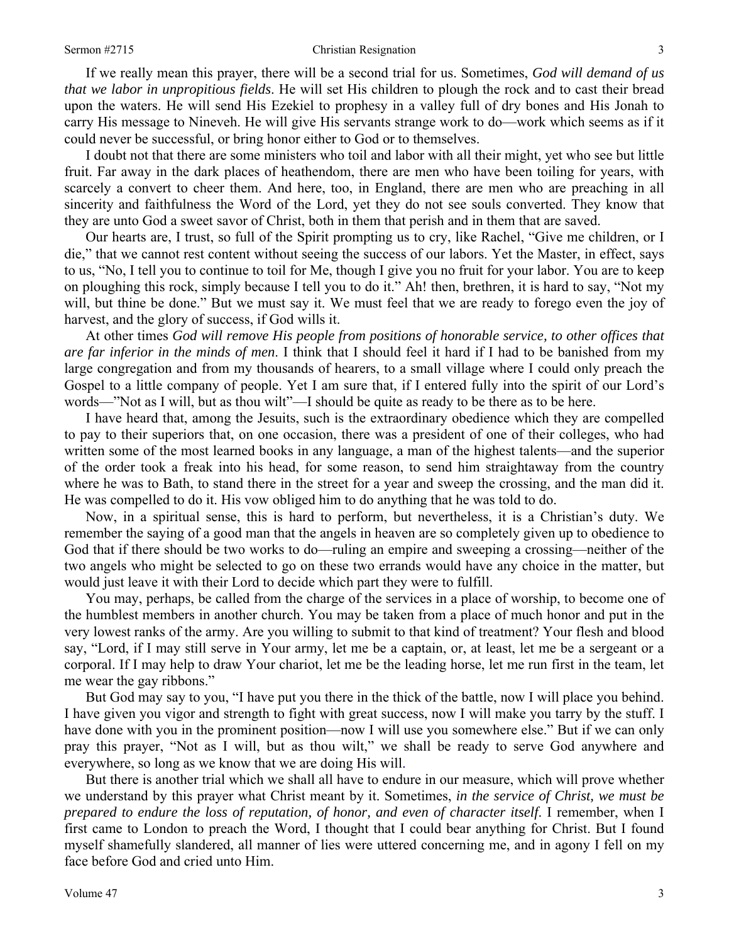#### Sermon #2715 Christian Resignation 3

 If we really mean this prayer, there will be a second trial for us. Sometimes, *God will demand of us that we labor in unpropitious fields*. He will set His children to plough the rock and to cast their bread upon the waters. He will send His Ezekiel to prophesy in a valley full of dry bones and His Jonah to carry His message to Nineveh. He will give His servants strange work to do—work which seems as if it could never be successful, or bring honor either to God or to themselves.

 I doubt not that there are some ministers who toil and labor with all their might, yet who see but little fruit. Far away in the dark places of heathendom, there are men who have been toiling for years, with scarcely a convert to cheer them. And here, too, in England, there are men who are preaching in all sincerity and faithfulness the Word of the Lord, yet they do not see souls converted. They know that they are unto God a sweet savor of Christ, both in them that perish and in them that are saved.

 Our hearts are, I trust, so full of the Spirit prompting us to cry, like Rachel, "Give me children, or I die," that we cannot rest content without seeing the success of our labors. Yet the Master, in effect, says to us, "No, I tell you to continue to toil for Me, though I give you no fruit for your labor. You are to keep on ploughing this rock, simply because I tell you to do it." Ah! then, brethren, it is hard to say, "Not my will, but thine be done." But we must say it. We must feel that we are ready to forego even the joy of harvest, and the glory of success, if God wills it.

 At other times *God will remove His people from positions of honorable service, to other offices that are far inferior in the minds of men*. I think that I should feel it hard if I had to be banished from my large congregation and from my thousands of hearers, to a small village where I could only preach the Gospel to a little company of people. Yet I am sure that, if I entered fully into the spirit of our Lord's words—"Not as I will, but as thou wilt"—I should be quite as ready to be there as to be here.

 I have heard that, among the Jesuits, such is the extraordinary obedience which they are compelled to pay to their superiors that, on one occasion, there was a president of one of their colleges, who had written some of the most learned books in any language, a man of the highest talents—and the superior of the order took a freak into his head, for some reason, to send him straightaway from the country where he was to Bath, to stand there in the street for a year and sweep the crossing, and the man did it. He was compelled to do it. His vow obliged him to do anything that he was told to do.

 Now, in a spiritual sense, this is hard to perform, but nevertheless, it is a Christian's duty. We remember the saying of a good man that the angels in heaven are so completely given up to obedience to God that if there should be two works to do—ruling an empire and sweeping a crossing—neither of the two angels who might be selected to go on these two errands would have any choice in the matter, but would just leave it with their Lord to decide which part they were to fulfill.

 You may, perhaps, be called from the charge of the services in a place of worship, to become one of the humblest members in another church. You may be taken from a place of much honor and put in the very lowest ranks of the army. Are you willing to submit to that kind of treatment? Your flesh and blood say, "Lord, if I may still serve in Your army, let me be a captain, or, at least, let me be a sergeant or a corporal. If I may help to draw Your chariot, let me be the leading horse, let me run first in the team, let me wear the gay ribbons."

 But God may say to you, "I have put you there in the thick of the battle, now I will place you behind. I have given you vigor and strength to fight with great success, now I will make you tarry by the stuff. I have done with you in the prominent position—now I will use you somewhere else." But if we can only pray this prayer, "Not as I will, but as thou wilt," we shall be ready to serve God anywhere and everywhere, so long as we know that we are doing His will.

 But there is another trial which we shall all have to endure in our measure, which will prove whether we understand by this prayer what Christ meant by it. Sometimes, *in the service of Christ, we must be prepared to endure the loss of reputation, of honor, and even of character itself*. I remember, when I first came to London to preach the Word, I thought that I could bear anything for Christ. But I found myself shamefully slandered, all manner of lies were uttered concerning me, and in agony I fell on my face before God and cried unto Him.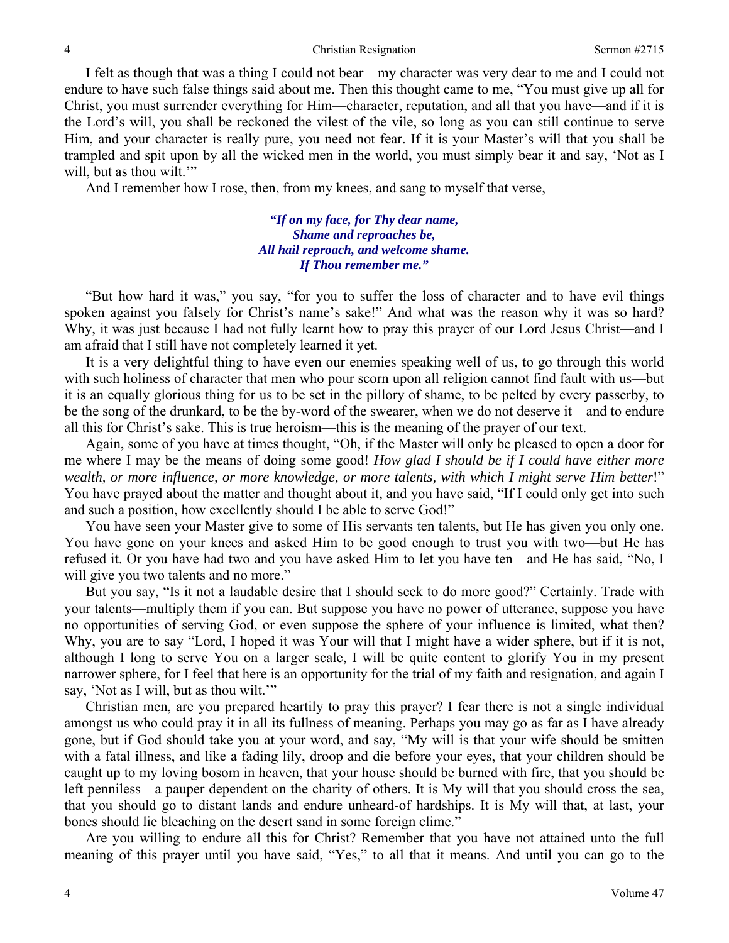I felt as though that was a thing I could not bear—my character was very dear to me and I could not endure to have such false things said about me. Then this thought came to me, "You must give up all for Christ, you must surrender everything for Him—character, reputation, and all that you have—and if it is the Lord's will, you shall be reckoned the vilest of the vile, so long as you can still continue to serve Him, and your character is really pure, you need not fear. If it is your Master's will that you shall be trampled and spit upon by all the wicked men in the world, you must simply bear it and say, 'Not as I will, but as thou wilt."

And I remember how I rose, then, from my knees, and sang to myself that verse,—

*"If on my face, for Thy dear name, Shame and reproaches be, All hail reproach, and welcome shame. If Thou remember me."* 

 "But how hard it was," you say, "for you to suffer the loss of character and to have evil things spoken against you falsely for Christ's name's sake!" And what was the reason why it was so hard? Why, it was just because I had not fully learnt how to pray this prayer of our Lord Jesus Christ—and I am afraid that I still have not completely learned it yet.

 It is a very delightful thing to have even our enemies speaking well of us, to go through this world with such holiness of character that men who pour scorn upon all religion cannot find fault with us—but it is an equally glorious thing for us to be set in the pillory of shame, to be pelted by every passerby, to be the song of the drunkard, to be the by-word of the swearer, when we do not deserve it—and to endure all this for Christ's sake. This is true heroism—this is the meaning of the prayer of our text.

 Again, some of you have at times thought, "Oh, if the Master will only be pleased to open a door for me where I may be the means of doing some good! *How glad I should be if I could have either more wealth, or more influence, or more knowledge, or more talents, with which I might serve Him better*!" You have prayed about the matter and thought about it, and you have said, "If I could only get into such and such a position, how excellently should I be able to serve God!"

 You have seen your Master give to some of His servants ten talents, but He has given you only one. You have gone on your knees and asked Him to be good enough to trust you with two—but He has refused it. Or you have had two and you have asked Him to let you have ten—and He has said, "No, I will give you two talents and no more."

 But you say, "Is it not a laudable desire that I should seek to do more good?" Certainly. Trade with your talents—multiply them if you can. But suppose you have no power of utterance, suppose you have no opportunities of serving God, or even suppose the sphere of your influence is limited, what then? Why, you are to say "Lord, I hoped it was Your will that I might have a wider sphere, but if it is not, although I long to serve You on a larger scale, I will be quite content to glorify You in my present narrower sphere, for I feel that here is an opportunity for the trial of my faith and resignation, and again I say, 'Not as I will, but as thou wilt.'"

 Christian men, are you prepared heartily to pray this prayer? I fear there is not a single individual amongst us who could pray it in all its fullness of meaning. Perhaps you may go as far as I have already gone, but if God should take you at your word, and say, "My will is that your wife should be smitten with a fatal illness, and like a fading lily, droop and die before your eyes, that your children should be caught up to my loving bosom in heaven, that your house should be burned with fire, that you should be left penniless—a pauper dependent on the charity of others. It is My will that you should cross the sea, that you should go to distant lands and endure unheard-of hardships. It is My will that, at last, your bones should lie bleaching on the desert sand in some foreign clime."

 Are you willing to endure all this for Christ? Remember that you have not attained unto the full meaning of this prayer until you have said, "Yes," to all that it means. And until you can go to the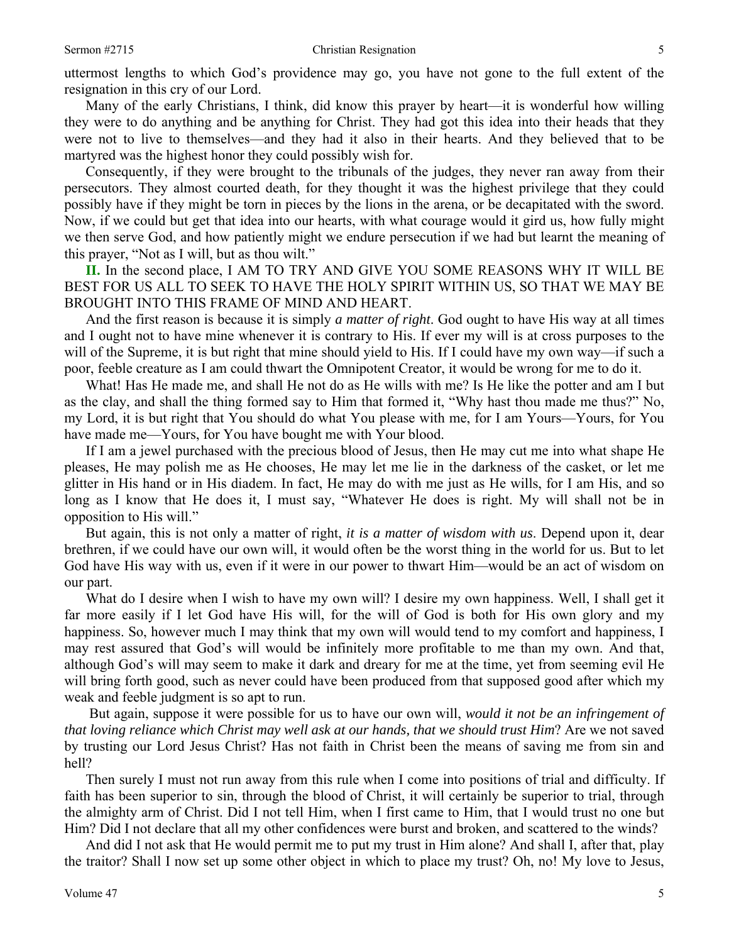uttermost lengths to which God's providence may go, you have not gone to the full extent of the resignation in this cry of our Lord.

 Many of the early Christians, I think, did know this prayer by heart—it is wonderful how willing they were to do anything and be anything for Christ. They had got this idea into their heads that they were not to live to themselves—and they had it also in their hearts. And they believed that to be martyred was the highest honor they could possibly wish for.

 Consequently, if they were brought to the tribunals of the judges, they never ran away from their persecutors. They almost courted death, for they thought it was the highest privilege that they could possibly have if they might be torn in pieces by the lions in the arena, or be decapitated with the sword. Now, if we could but get that idea into our hearts, with what courage would it gird us, how fully might we then serve God, and how patiently might we endure persecution if we had but learnt the meaning of this prayer, "Not as I will, but as thou wilt."

**II.** In the second place, I AM TO TRY AND GIVE YOU SOME REASONS WHY IT WILL BE BEST FOR US ALL TO SEEK TO HAVE THE HOLY SPIRIT WITHIN US, SO THAT WE MAY BE BROUGHT INTO THIS FRAME OF MIND AND HEART.

 And the first reason is because it is simply *a matter of right*. God ought to have His way at all times and I ought not to have mine whenever it is contrary to His. If ever my will is at cross purposes to the will of the Supreme, it is but right that mine should yield to His. If I could have my own way—if such a poor, feeble creature as I am could thwart the Omnipotent Creator, it would be wrong for me to do it.

 What! Has He made me, and shall He not do as He wills with me? Is He like the potter and am I but as the clay, and shall the thing formed say to Him that formed it, "Why hast thou made me thus?" No, my Lord, it is but right that You should do what You please with me, for I am Yours—Yours, for You have made me—Yours, for You have bought me with Your blood.

 If I am a jewel purchased with the precious blood of Jesus, then He may cut me into what shape He pleases, He may polish me as He chooses, He may let me lie in the darkness of the casket, or let me glitter in His hand or in His diadem. In fact, He may do with me just as He wills, for I am His, and so long as I know that He does it, I must say, "Whatever He does is right. My will shall not be in opposition to His will."

 But again, this is not only a matter of right, *it is a matter of wisdom with us*. Depend upon it, dear brethren, if we could have our own will, it would often be the worst thing in the world for us. But to let God have His way with us, even if it were in our power to thwart Him—would be an act of wisdom on our part.

What do I desire when I wish to have my own will? I desire my own happiness. Well, I shall get it far more easily if I let God have His will, for the will of God is both for His own glory and my happiness. So, however much I may think that my own will would tend to my comfort and happiness, I may rest assured that God's will would be infinitely more profitable to me than my own. And that, although God's will may seem to make it dark and dreary for me at the time, yet from seeming evil He will bring forth good, such as never could have been produced from that supposed good after which my weak and feeble judgment is so apt to run.

 But again, suppose it were possible for us to have our own will, *would it not be an infringement of that loving reliance which Christ may well ask at our hands, that we should trust Him*? Are we not saved by trusting our Lord Jesus Christ? Has not faith in Christ been the means of saving me from sin and hell?

 Then surely I must not run away from this rule when I come into positions of trial and difficulty. If faith has been superior to sin, through the blood of Christ, it will certainly be superior to trial, through the almighty arm of Christ. Did I not tell Him, when I first came to Him, that I would trust no one but Him? Did I not declare that all my other confidences were burst and broken, and scattered to the winds?

 And did I not ask that He would permit me to put my trust in Him alone? And shall I, after that, play the traitor? Shall I now set up some other object in which to place my trust? Oh, no! My love to Jesus,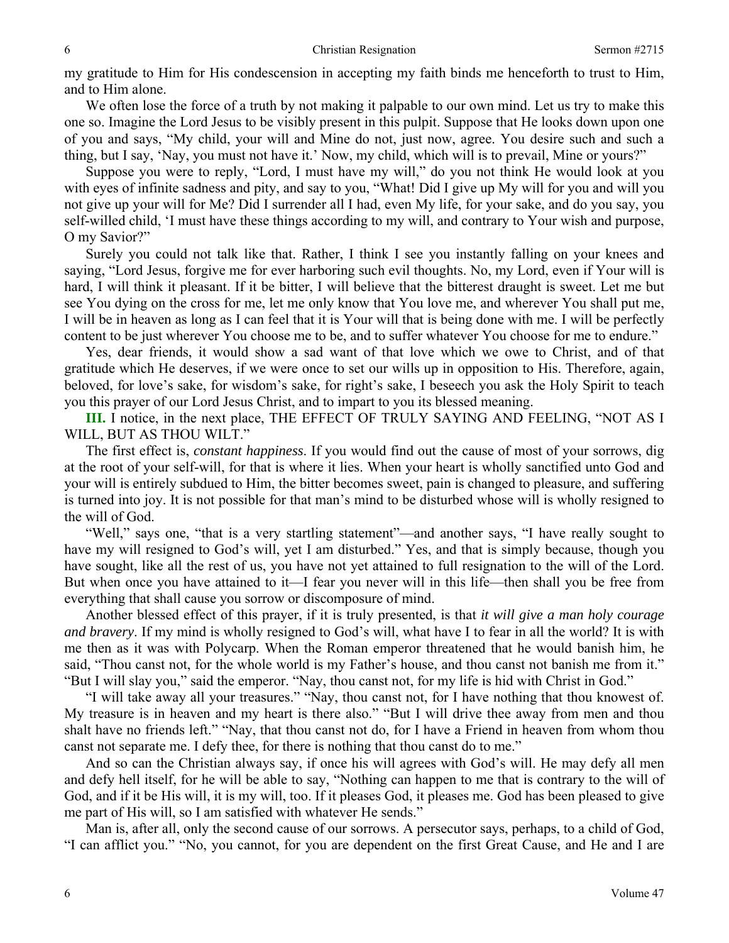my gratitude to Him for His condescension in accepting my faith binds me henceforth to trust to Him, and to Him alone.

We often lose the force of a truth by not making it palpable to our own mind. Let us try to make this one so. Imagine the Lord Jesus to be visibly present in this pulpit. Suppose that He looks down upon one of you and says, "My child, your will and Mine do not, just now, agree. You desire such and such a thing, but I say, 'Nay, you must not have it.' Now, my child, which will is to prevail, Mine or yours?"

 Suppose you were to reply, "Lord, I must have my will," do you not think He would look at you with eyes of infinite sadness and pity, and say to you, "What! Did I give up My will for you and will you not give up your will for Me? Did I surrender all I had, even My life, for your sake, and do you say, you self-willed child, 'I must have these things according to my will, and contrary to Your wish and purpose, O my Savior?"

 Surely you could not talk like that. Rather, I think I see you instantly falling on your knees and saying, "Lord Jesus, forgive me for ever harboring such evil thoughts. No, my Lord, even if Your will is hard, I will think it pleasant. If it be bitter, I will believe that the bitterest draught is sweet. Let me but see You dying on the cross for me, let me only know that You love me, and wherever You shall put me, I will be in heaven as long as I can feel that it is Your will that is being done with me. I will be perfectly content to be just wherever You choose me to be, and to suffer whatever You choose for me to endure."

 Yes, dear friends, it would show a sad want of that love which we owe to Christ, and of that gratitude which He deserves, if we were once to set our wills up in opposition to His. Therefore, again, beloved, for love's sake, for wisdom's sake, for right's sake, I beseech you ask the Holy Spirit to teach you this prayer of our Lord Jesus Christ, and to impart to you its blessed meaning.

**III.** I notice, in the next place, THE EFFECT OF TRULY SAYING AND FEELING, "NOT AS I WILL, BUT AS THOU WILT."

 The first effect is, *constant happiness*. If you would find out the cause of most of your sorrows, dig at the root of your self-will, for that is where it lies. When your heart is wholly sanctified unto God and your will is entirely subdued to Him, the bitter becomes sweet, pain is changed to pleasure, and suffering is turned into joy. It is not possible for that man's mind to be disturbed whose will is wholly resigned to the will of God.

 "Well," says one, "that is a very startling statement"—and another says, "I have really sought to have my will resigned to God's will, yet I am disturbed." Yes, and that is simply because, though you have sought, like all the rest of us, you have not yet attained to full resignation to the will of the Lord. But when once you have attained to it—I fear you never will in this life—then shall you be free from everything that shall cause you sorrow or discomposure of mind.

 Another blessed effect of this prayer, if it is truly presented, is that *it will give a man holy courage and bravery*. If my mind is wholly resigned to God's will, what have I to fear in all the world? It is with me then as it was with Polycarp. When the Roman emperor threatened that he would banish him, he said, "Thou canst not, for the whole world is my Father's house, and thou canst not banish me from it." "But I will slay you," said the emperor. "Nay, thou canst not, for my life is hid with Christ in God."

 "I will take away all your treasures." "Nay, thou canst not, for I have nothing that thou knowest of. My treasure is in heaven and my heart is there also." "But I will drive thee away from men and thou shalt have no friends left." "Nay, that thou canst not do, for I have a Friend in heaven from whom thou canst not separate me. I defy thee, for there is nothing that thou canst do to me."

 And so can the Christian always say, if once his will agrees with God's will. He may defy all men and defy hell itself, for he will be able to say, "Nothing can happen to me that is contrary to the will of God, and if it be His will, it is my will, too. If it pleases God, it pleases me. God has been pleased to give me part of His will, so I am satisfied with whatever He sends."

 Man is, after all, only the second cause of our sorrows. A persecutor says, perhaps, to a child of God, "I can afflict you." "No, you cannot, for you are dependent on the first Great Cause, and He and I are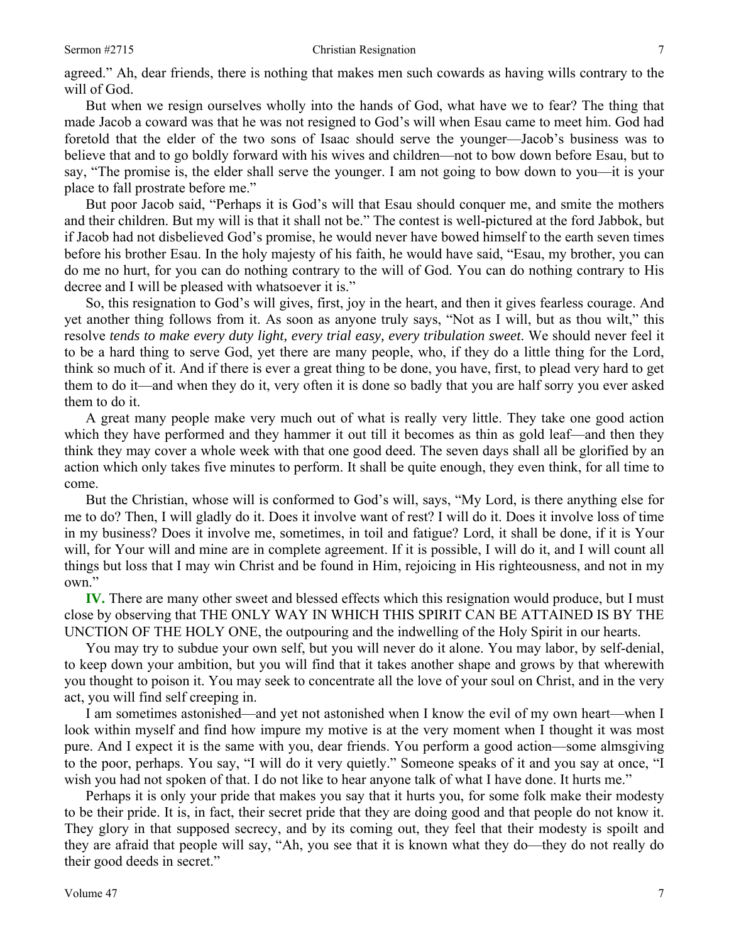agreed." Ah, dear friends, there is nothing that makes men such cowards as having wills contrary to the will of God.

 But when we resign ourselves wholly into the hands of God, what have we to fear? The thing that made Jacob a coward was that he was not resigned to God's will when Esau came to meet him. God had foretold that the elder of the two sons of Isaac should serve the younger—Jacob's business was to believe that and to go boldly forward with his wives and children—not to bow down before Esau, but to say, "The promise is, the elder shall serve the younger. I am not going to bow down to you—it is your place to fall prostrate before me."

 But poor Jacob said, "Perhaps it is God's will that Esau should conquer me, and smite the mothers and their children. But my will is that it shall not be." The contest is well-pictured at the ford Jabbok, but if Jacob had not disbelieved God's promise, he would never have bowed himself to the earth seven times before his brother Esau. In the holy majesty of his faith, he would have said, "Esau, my brother, you can do me no hurt, for you can do nothing contrary to the will of God. You can do nothing contrary to His decree and I will be pleased with whatsoever it is."

 So, this resignation to God's will gives, first, joy in the heart, and then it gives fearless courage. And yet another thing follows from it. As soon as anyone truly says, "Not as I will, but as thou wilt," this resolve *tends to make every duty light, every trial easy, every tribulation sweet*. We should never feel it to be a hard thing to serve God, yet there are many people, who, if they do a little thing for the Lord, think so much of it. And if there is ever a great thing to be done, you have, first, to plead very hard to get them to do it—and when they do it, very often it is done so badly that you are half sorry you ever asked them to do it.

 A great many people make very much out of what is really very little. They take one good action which they have performed and they hammer it out till it becomes as thin as gold leaf—and then they think they may cover a whole week with that one good deed. The seven days shall all be glorified by an action which only takes five minutes to perform. It shall be quite enough, they even think, for all time to come.

 But the Christian, whose will is conformed to God's will, says, "My Lord, is there anything else for me to do? Then, I will gladly do it. Does it involve want of rest? I will do it. Does it involve loss of time in my business? Does it involve me, sometimes, in toil and fatigue? Lord, it shall be done, if it is Your will, for Your will and mine are in complete agreement. If it is possible, I will do it, and I will count all things but loss that I may win Christ and be found in Him, rejoicing in His righteousness, and not in my own."

**IV.** There are many other sweet and blessed effects which this resignation would produce, but I must close by observing that THE ONLY WAY IN WHICH THIS SPIRIT CAN BE ATTAINED IS BY THE UNCTION OF THE HOLY ONE, the outpouring and the indwelling of the Holy Spirit in our hearts.

 You may try to subdue your own self, but you will never do it alone. You may labor, by self-denial, to keep down your ambition, but you will find that it takes another shape and grows by that wherewith you thought to poison it. You may seek to concentrate all the love of your soul on Christ, and in the very act, you will find self creeping in.

 I am sometimes astonished—and yet not astonished when I know the evil of my own heart—when I look within myself and find how impure my motive is at the very moment when I thought it was most pure. And I expect it is the same with you, dear friends. You perform a good action—some almsgiving to the poor, perhaps. You say, "I will do it very quietly." Someone speaks of it and you say at once, "I wish you had not spoken of that. I do not like to hear anyone talk of what I have done. It hurts me."

 Perhaps it is only your pride that makes you say that it hurts you, for some folk make their modesty to be their pride. It is, in fact, their secret pride that they are doing good and that people do not know it. They glory in that supposed secrecy, and by its coming out, they feel that their modesty is spoilt and they are afraid that people will say, "Ah, you see that it is known what they do—they do not really do their good deeds in secret."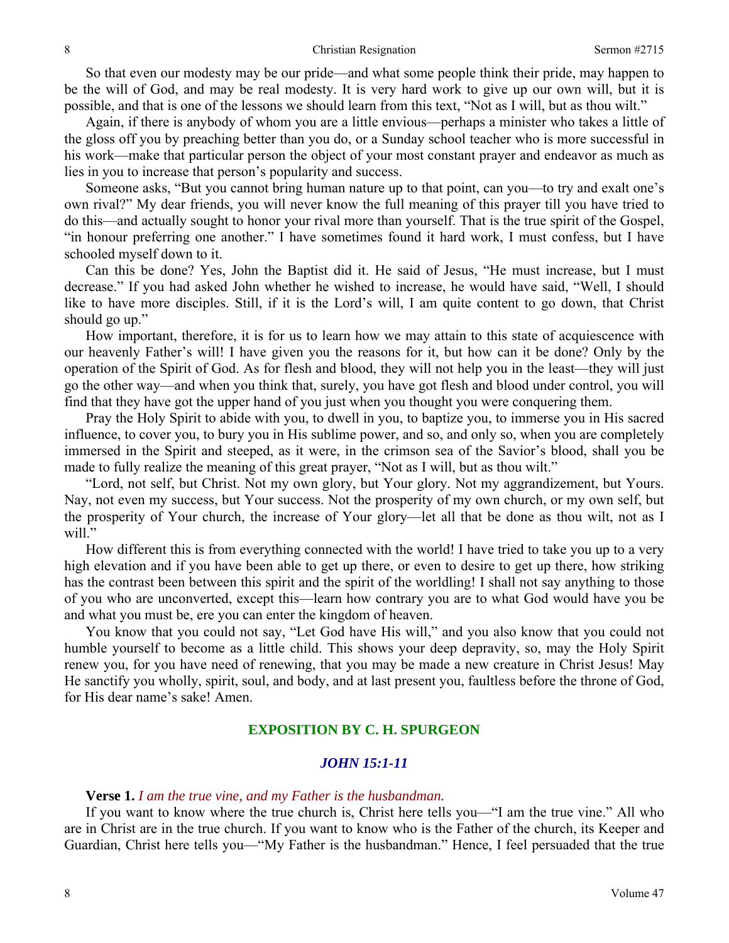So that even our modesty may be our pride—and what some people think their pride, may happen to be the will of God, and may be real modesty. It is very hard work to give up our own will, but it is possible, and that is one of the lessons we should learn from this text, "Not as I will, but as thou wilt."

 Again, if there is anybody of whom you are a little envious—perhaps a minister who takes a little of the gloss off you by preaching better than you do, or a Sunday school teacher who is more successful in his work—make that particular person the object of your most constant prayer and endeavor as much as lies in you to increase that person's popularity and success.

 Someone asks, "But you cannot bring human nature up to that point, can you—to try and exalt one's own rival?" My dear friends, you will never know the full meaning of this prayer till you have tried to do this—and actually sought to honor your rival more than yourself. That is the true spirit of the Gospel, "in honour preferring one another." I have sometimes found it hard work, I must confess, but I have schooled myself down to it.

 Can this be done? Yes, John the Baptist did it. He said of Jesus, "He must increase, but I must decrease." If you had asked John whether he wished to increase, he would have said, "Well, I should like to have more disciples. Still, if it is the Lord's will, I am quite content to go down, that Christ should go up."

 How important, therefore, it is for us to learn how we may attain to this state of acquiescence with our heavenly Father's will! I have given you the reasons for it, but how can it be done? Only by the operation of the Spirit of God. As for flesh and blood, they will not help you in the least—they will just go the other way—and when you think that, surely, you have got flesh and blood under control, you will find that they have got the upper hand of you just when you thought you were conquering them.

 Pray the Holy Spirit to abide with you, to dwell in you, to baptize you, to immerse you in His sacred influence, to cover you, to bury you in His sublime power, and so, and only so, when you are completely immersed in the Spirit and steeped, as it were, in the crimson sea of the Savior's blood, shall you be made to fully realize the meaning of this great prayer, "Not as I will, but as thou wilt."

 "Lord, not self, but Christ. Not my own glory, but Your glory. Not my aggrandizement, but Yours. Nay, not even my success, but Your success. Not the prosperity of my own church, or my own self, but the prosperity of Your church, the increase of Your glory—let all that be done as thou wilt, not as I will."

 How different this is from everything connected with the world! I have tried to take you up to a very high elevation and if you have been able to get up there, or even to desire to get up there, how striking has the contrast been between this spirit and the spirit of the worldling! I shall not say anything to those of you who are unconverted, except this—learn how contrary you are to what God would have you be and what you must be, ere you can enter the kingdom of heaven.

 You know that you could not say, "Let God have His will," and you also know that you could not humble yourself to become as a little child. This shows your deep depravity, so, may the Holy Spirit renew you, for you have need of renewing, that you may be made a new creature in Christ Jesus! May He sanctify you wholly, spirit, soul, and body, and at last present you, faultless before the throne of God, for His dear name's sake! Amen.

# **EXPOSITION BY C. H. SPURGEON**

### *JOHN 15:1-11*

### **Verse 1.** *I am the true vine, and my Father is the husbandman.*

If you want to know where the true church is, Christ here tells you—"I am the true vine." All who are in Christ are in the true church. If you want to know who is the Father of the church, its Keeper and Guardian, Christ here tells you—"My Father is the husbandman." Hence, I feel persuaded that the true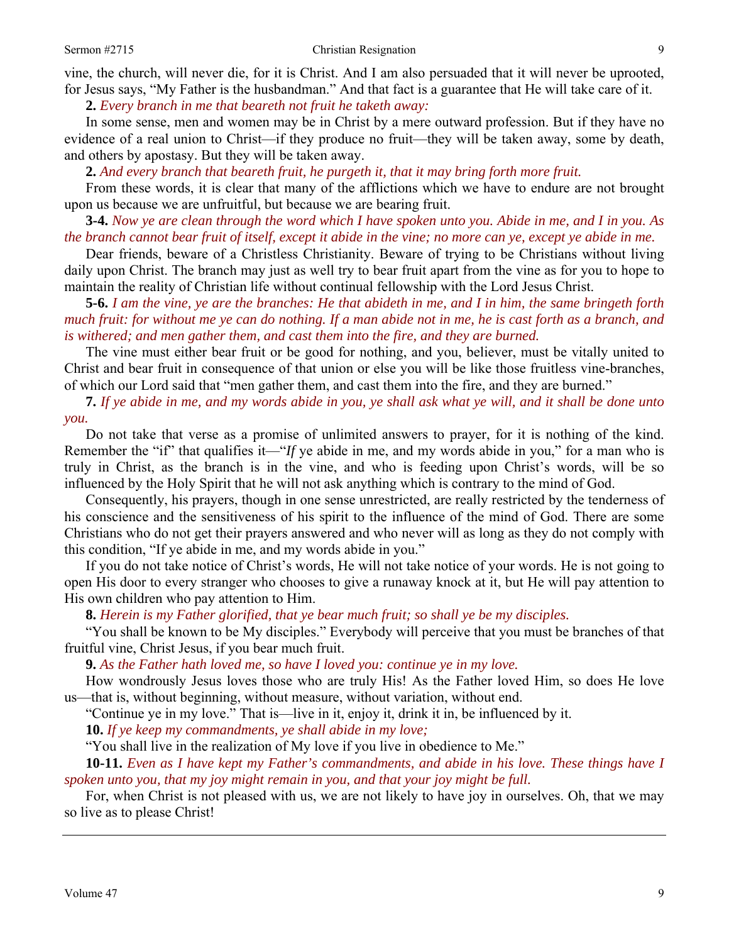vine, the church, will never die, for it is Christ. And I am also persuaded that it will never be uprooted, for Jesus says, "My Father is the husbandman." And that fact is a guarantee that He will take care of it.

**2.** *Every branch in me that beareth not fruit he taketh away:* 

In some sense, men and women may be in Christ by a mere outward profession. But if they have no evidence of a real union to Christ—if they produce no fruit—they will be taken away, some by death, and others by apostasy. But they will be taken away.

**2.** *And every branch that beareth fruit, he purgeth it, that it may bring forth more fruit.* 

From these words, it is clear that many of the afflictions which we have to endure are not brought upon us because we are unfruitful, but because we are bearing fruit.

**3-4.** *Now ye are clean through the word which I have spoken unto you. Abide in me, and I in you. As the branch cannot bear fruit of itself, except it abide in the vine; no more can ye, except ye abide in me.* 

Dear friends, beware of a Christless Christianity. Beware of trying to be Christians without living daily upon Christ. The branch may just as well try to bear fruit apart from the vine as for you to hope to maintain the reality of Christian life without continual fellowship with the Lord Jesus Christ.

**5-6.** *I am the vine, ye are the branches: He that abideth in me, and I in him, the same bringeth forth much fruit: for without me ye can do nothing. If a man abide not in me, he is cast forth as a branch, and is withered; and men gather them, and cast them into the fire, and they are burned.* 

The vine must either bear fruit or be good for nothing, and you, believer, must be vitally united to Christ and bear fruit in consequence of that union or else you will be like those fruitless vine-branches, of which our Lord said that "men gather them, and cast them into the fire, and they are burned."

**7.** *If ye abide in me, and my words abide in you, ye shall ask what ye will, and it shall be done unto you.* 

Do not take that verse as a promise of unlimited answers to prayer, for it is nothing of the kind. Remember the "if" that qualifies it—"*If* ye abide in me, and my words abide in you," for a man who is truly in Christ, as the branch is in the vine, and who is feeding upon Christ's words, will be so influenced by the Holy Spirit that he will not ask anything which is contrary to the mind of God.

 Consequently, his prayers, though in one sense unrestricted, are really restricted by the tenderness of his conscience and the sensitiveness of his spirit to the influence of the mind of God. There are some Christians who do not get their prayers answered and who never will as long as they do not comply with this condition, "If ye abide in me, and my words abide in you."

 If you do not take notice of Christ's words, He will not take notice of your words. He is not going to open His door to every stranger who chooses to give a runaway knock at it, but He will pay attention to His own children who pay attention to Him.

**8.** *Herein is my Father glorified, that ye bear much fruit; so shall ye be my disciples.* 

"You shall be known to be My disciples." Everybody will perceive that you must be branches of that fruitful vine, Christ Jesus, if you bear much fruit.

**9.** *As the Father hath loved me, so have I loved you: continue ye in my love.* 

How wondrously Jesus loves those who are truly His! As the Father loved Him, so does He love us—that is, without beginning, without measure, without variation, without end.

"Continue ye in my love." That is—live in it, enjoy it, drink it in, be influenced by it.

**10.** *If ye keep my commandments, ye shall abide in my love;* 

"You shall live in the realization of My love if you live in obedience to Me."

**10-11.** *Even as I have kept my Father's commandments, and abide in his love. These things have I spoken unto you, that my joy might remain in you, and that your joy might be full.* 

For, when Christ is not pleased with us, we are not likely to have joy in ourselves. Oh, that we may so live as to please Christ!